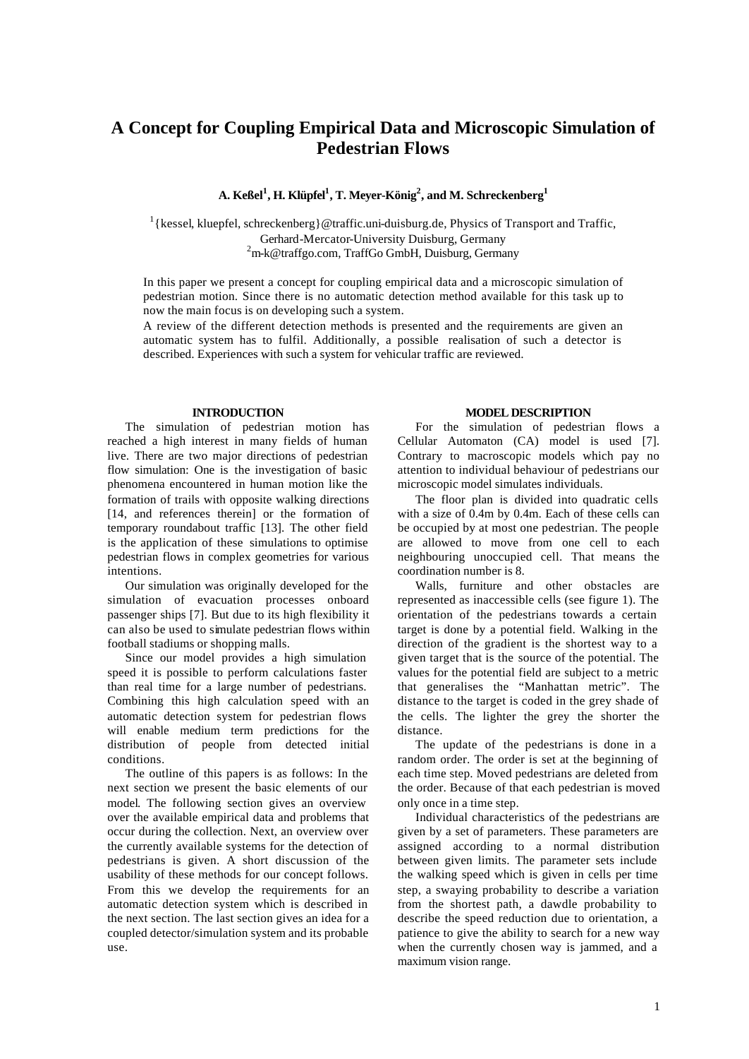# **A Concept for Coupling Empirical Data and Microscopic Simulation of Pedestrian Flows**

**A. Keßel<sup>1</sup> , H. Klüpfel<sup>1</sup> , T. Meyer-König<sup>2</sup> , and M. Schreckenberg<sup>1</sup>**

<sup>1</sup> { kessel, kluepfel, schreckenberg } @traffic.uni-duisburg.de, Physics of Transport and Traffic, Gerhard-Mercator-University Duisburg, Germany <sup>2</sup>m-k@traffgo.com, TraffGo GmbH, Duisburg, Germany

In this paper we present a concept for coupling empirical data and a microscopic simulation of pedestrian motion. Since there is no automatic detection method available for this task up to now the main focus is on developing such a system.

A review of the different detection methods is presented and the requirements are given an automatic system has to fulfil. Additionally, a possible realisation of such a detector is described. Experiences with such a system for vehicular traffic are reviewed.

## **INTRODUCTION**

The simulation of pedestrian motion has reached a high interest in many fields of human live. There are two major directions of pedestrian flow simulation: One is the investigation of basic phenomena encountered in human motion like the formation of trails with opposite walking directions [14, and references therein] or the formation of temporary roundabout traffic [13]. The other field is the application of these simulations to optimise pedestrian flows in complex geometries for various intentions.

Our simulation was originally developed for the simulation of evacuation processes onboard passenger ships [7]. But due to its high flexibility it can also be used to simulate pedestrian flows within football stadiums or shopping malls.

Since our model provides a high simulation speed it is possible to perform calculations faster than real time for a large number of pedestrians. Combining this high calculation speed with an automatic detection system for pedestrian flows will enable medium term predictions for the distribution of people from detected initial conditions.

The outline of this papers is as follows: In the next section we present the basic elements of our model. The following section gives an overview over the available empirical data and problems that occur during the collection. Next, an overview over the currently available systems for the detection of pedestrians is given. A short discussion of the usability of these methods for our concept follows. From this we develop the requirements for an automatic detection system which is described in the next section. The last section gives an idea for a coupled detector/simulation system and its probable use.

#### **MODEL DESCRIPTION**

For the simulation of pedestrian flows a Cellular Automaton (CA) model is used [7]. Contrary to macroscopic models which pay no attention to individual behaviour of pedestrians our microscopic model simulates individuals.

The floor plan is divided into quadratic cells with a size of 0.4m by 0.4m. Each of these cells can be occupied by at most one pedestrian. The people are allowed to move from one cell to each neighbouring unoccupied cell. That means the coordination number is 8.

Walls, furniture and other obstacles are represented as inaccessible cells (see figure 1). The orientation of the pedestrians towards a certain target is done by a potential field. Walking in the direction of the gradient is the shortest way to a given target that is the source of the potential. The values for the potential field are subject to a metric that generalises the "Manhattan metric". The distance to the target is coded in the grey shade of the cells. The lighter the grey the shorter the distance.

The update of the pedestrians is done in a random order. The order is set at the beginning of each time step. Moved pedestrians are deleted from the order. Because of that each pedestrian is moved only once in a time step.

Individual characteristics of the pedestrians are given by a set of parameters. These parameters are assigned according to a normal distribution between given limits. The parameter sets include the walking speed which is given in cells per time step, a swaying probability to describe a variation from the shortest path, a dawdle probability to describe the speed reduction due to orientation, a patience to give the ability to search for a new way when the currently chosen way is jammed, and a maximum vision range.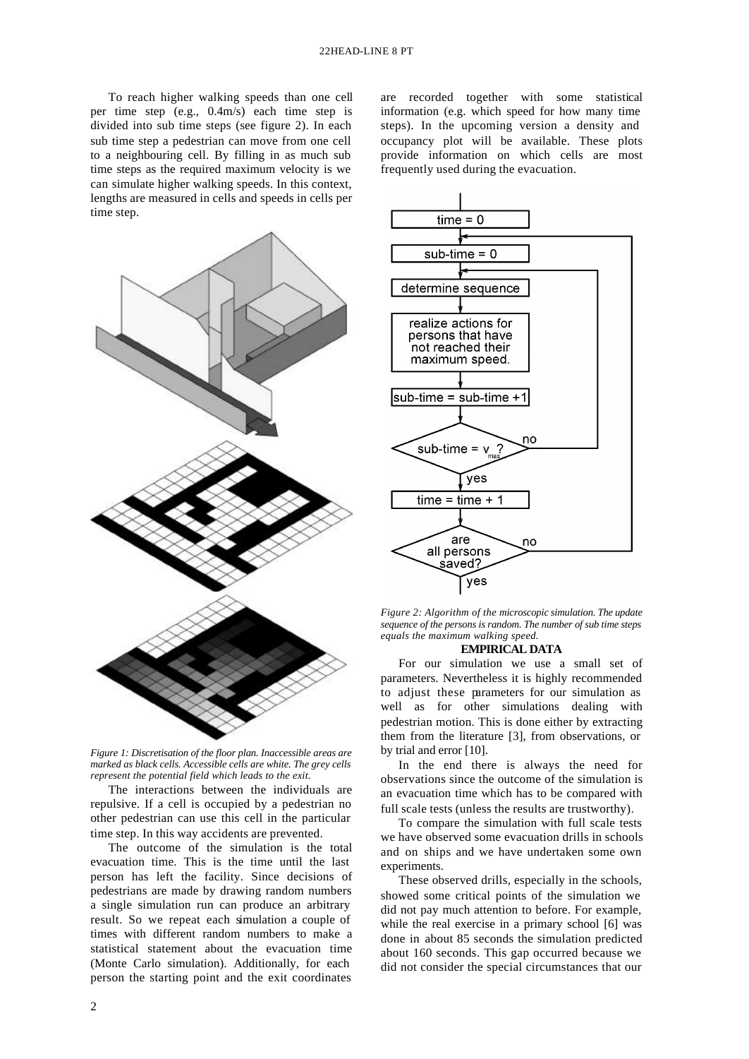To reach higher walking speeds than one cell per time step (e.g., 0.4m/s) each time step is divided into sub time steps (see figure 2). In each sub time step a pedestrian can move from one cell to a neighbouring cell. By filling in as much sub time steps as the required maximum velocity is we can simulate higher walking speeds. In this context, lengths are measured in cells and speeds in cells per time step.



*Figure 1: Discretisation of the floor plan. Inaccessible areas are marked as black cells. Accessible cells are white. The grey cells represent the potential field which leads to the exit.*

The interactions between the individuals are repulsive. If a cell is occupied by a pedestrian no other pedestrian can use this cell in the particular time step. In this way accidents are prevented.

The outcome of the simulation is the total evacuation time. This is the time until the last person has left the facility. Since decisions of pedestrians are made by drawing random numbers a single simulation run can produce an arbitrary result. So we repeat each simulation a couple of times with different random numbers to make a statistical statement about the evacuation time (Monte Carlo simulation). Additionally, for each person the starting point and the exit coordinates

are recorded together with some statistical information (e.g. which speed for how many time steps). In the upcoming version a density and occupancy plot will be available. These plots provide information on which cells are most frequently used during the evacuation.



*Figure 2: Algorithm of the microscopic simulation. The update sequence of the persons is random. The number of sub time steps equals the maximum walking speed.*

# **EMPIRICAL DATA**

For our simulation we use a small set of parameters. Nevertheless it is highly recommended to adjust these parameters for our simulation as well as for other simulations dealing with pedestrian motion. This is done either by extracting them from the literature [3], from observations, or by trial and error [10].

In the end there is always the need for observations since the outcome of the simulation is an evacuation time which has to be compared with full scale tests (unless the results are trustworthy).

To compare the simulation with full scale tests we have observed some evacuation drills in schools and on ships and we have undertaken some own experiments.

These observed drills, especially in the schools, showed some critical points of the simulation we did not pay much attention to before. For example, while the real exercise in a primary school [6] was done in about 85 seconds the simulation predicted about 160 seconds. This gap occurred because we did not consider the special circumstances that our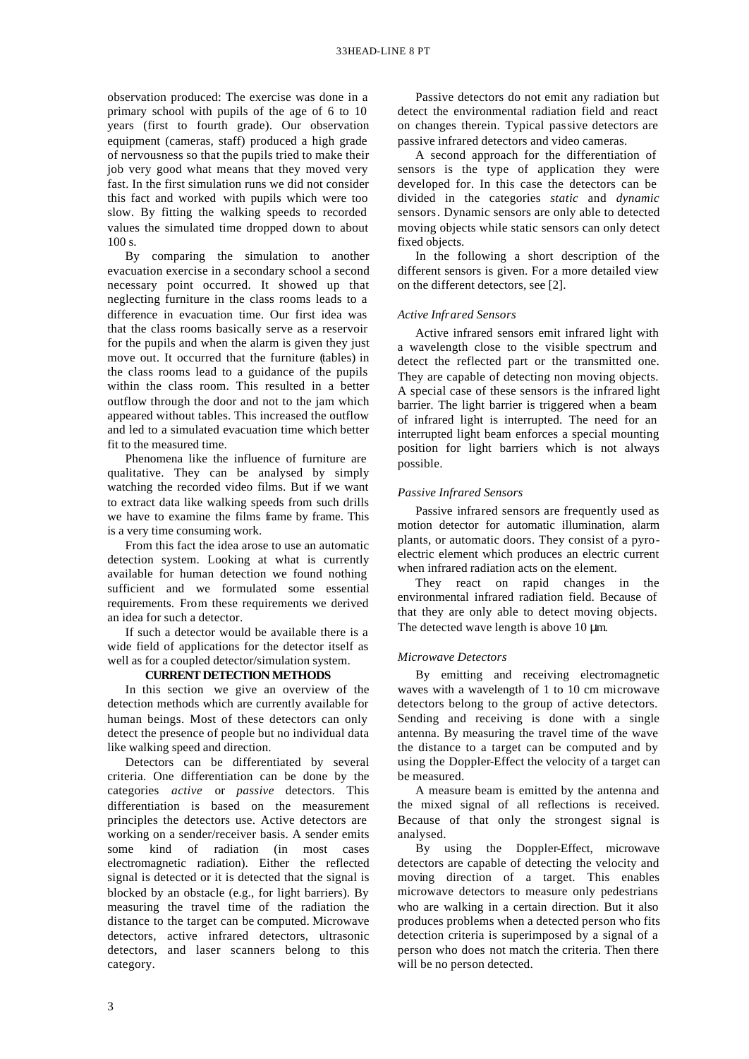observation produced: The exercise was done in a primary school with pupils of the age of 6 to 10 years (first to fourth grade). Our observation equipment (cameras, staff) produced a high grade of nervousness so that the pupils tried to make their job very good what means that they moved very fast. In the first simulation runs we did not consider this fact and worked with pupils which were too slow. By fitting the walking speeds to recorded values the simulated time dropped down to about 100 s.

By comparing the simulation to another evacuation exercise in a secondary school a second necessary point occurred. It showed up that neglecting furniture in the class rooms leads to a difference in evacuation time. Our first idea was that the class rooms basically serve as a reservoir for the pupils and when the alarm is given they just move out. It occurred that the furniture (tables) in the class rooms lead to a guidance of the pupils within the class room. This resulted in a better outflow through the door and not to the jam which appeared without tables. This increased the outflow and led to a simulated evacuation time which better fit to the measured time.

Phenomena like the influence of furniture are qualitative. They can be analysed by simply watching the recorded video films. But if we want to extract data like walking speeds from such drills we have to examine the films frame by frame. This is a very time consuming work.

From this fact the idea arose to use an automatic detection system. Looking at what is currently available for human detection we found nothing sufficient and we formulated some essential requirements. From these requirements we derived an idea for such a detector.

If such a detector would be available there is a wide field of applications for the detector itself as well as for a coupled detector/simulation system.

## **CURRENT DETECTION METHODS**

In this section we give an overview of the detection methods which are currently available for human beings. Most of these detectors can only detect the presence of people but no individual data like walking speed and direction.

Detectors can be differentiated by several criteria. One differentiation can be done by the categories *active* or *passive* detectors. This differentiation is based on the measurement principles the detectors use. Active detectors are working on a sender/receiver basis. A sender emits some kind of radiation (in most cases electromagnetic radiation). Either the reflected signal is detected or it is detected that the signal is blocked by an obstacle (e.g., for light barriers). By measuring the travel time of the radiation the distance to the target can be computed. Microwave detectors, active infrared detectors, ultrasonic detectors, and laser scanners belong to this category.

Passive detectors do not emit any radiation but detect the environmental radiation field and react on changes therein. Typical passive detectors are passive infrared detectors and video cameras.

A second approach for the differentiation of sensors is the type of application they were developed for. In this case the detectors can be divided in the categories *static* and *dynamic* sensors. Dynamic sensors are only able to detected moving objects while static sensors can only detect fixed objects.

In the following a short description of the different sensors is given. For a more detailed view on the different detectors, see [2].

## *Active Infrared Sensors*

Active infrared sensors emit infrared light with a wavelength close to the visible spectrum and detect the reflected part or the transmitted one. They are capable of detecting non moving objects. A special case of these sensors is the infrared light barrier. The light barrier is triggered when a beam of infrared light is interrupted. The need for an interrupted light beam enforces a special mounting position for light barriers which is not always possible.

## *Passive Infrared Sensors*

Passive infrared sensors are frequently used as motion detector for automatic illumination, alarm plants, or automatic doors. They consist of a pyroelectric element which produces an electric current when infrared radiation acts on the element.

They react on rapid changes in the environmental infrared radiation field. Because of that they are only able to detect moving objects. The detected wave length is above 10 μm.

#### *Microwave Detectors*

By emitting and receiving electromagnetic waves with a wavelength of 1 to 10 cm microwave detectors belong to the group of active detectors. Sending and receiving is done with a single antenna. By measuring the travel time of the wave the distance to a target can be computed and by using the Doppler-Effect the velocity of a target can be measured.

A measure beam is emitted by the antenna and the mixed signal of all reflections is received. Because of that only the strongest signal is analysed.

By using the Doppler-Effect, microwave detectors are capable of detecting the velocity and moving direction of a target. This enables microwave detectors to measure only pedestrians who are walking in a certain direction. But it also produces problems when a detected person who fits detection criteria is superimposed by a signal of a person who does not match the criteria. Then there will be no person detected.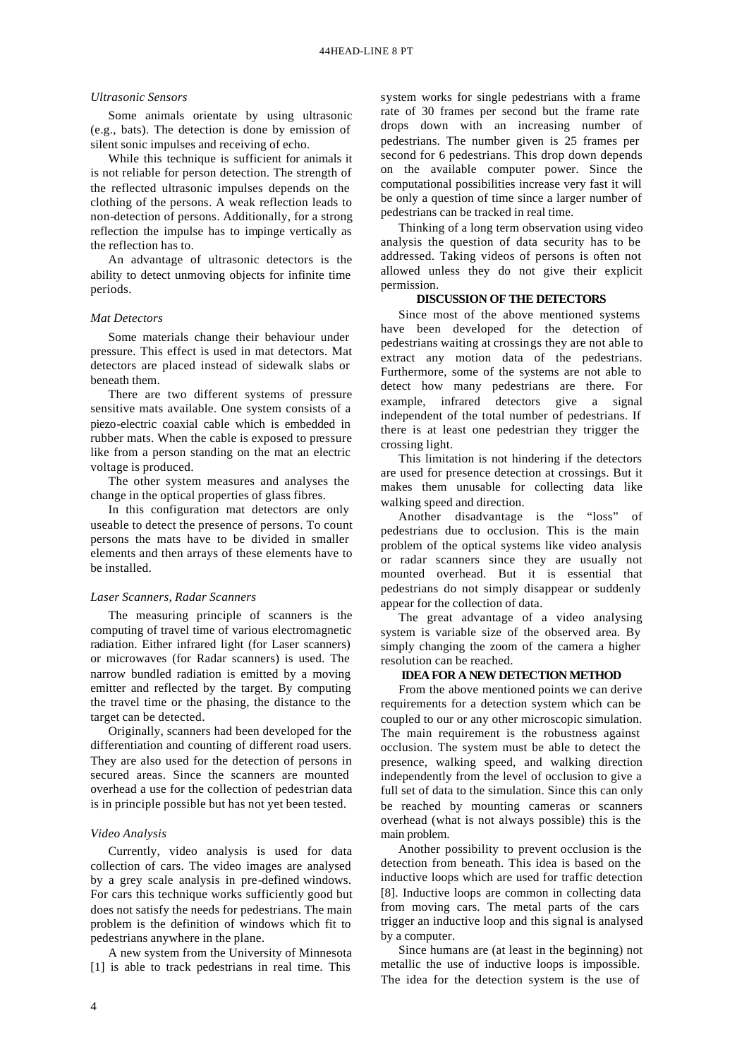#### *Ultrasonic Sensors*

Some animals orientate by using ultrasonic (e.g., bats). The detection is done by emission of silent sonic impulses and receiving of echo.

While this technique is sufficient for animals it is not reliable for person detection. The strength of the reflected ultrasonic impulses depends on the clothing of the persons. A weak reflection leads to non-detection of persons. Additionally, for a strong reflection the impulse has to impinge vertically as the reflection has to.

An advantage of ultrasonic detectors is the ability to detect unmoving objects for infinite time periods.

#### *Mat Detectors*

Some materials change their behaviour under pressure. This effect is used in mat detectors. Mat detectors are placed instead of sidewalk slabs or beneath them.

There are two different systems of pressure sensitive mats available. One system consists of a piezo-electric coaxial cable which is embedded in rubber mats. When the cable is exposed to pressure like from a person standing on the mat an electric voltage is produced.

The other system measures and analyses the change in the optical properties of glass fibres.

In this configuration mat detectors are only useable to detect the presence of persons. To count persons the mats have to be divided in smaller elements and then arrays of these elements have to be installed.

# *Laser Scanners, Radar Scanners*

The measuring principle of scanners is the computing of travel time of various electromagnetic radiation. Either infrared light (for Laser scanners) or microwaves (for Radar scanners) is used. The narrow bundled radiation is emitted by a moving emitter and reflected by the target. By computing the travel time or the phasing, the distance to the target can be detected.

Originally, scanners had been developed for the differentiation and counting of different road users. They are also used for the detection of persons in secured areas. Since the scanners are mounted overhead a use for the collection of pedestrian data is in principle possible but has not yet been tested.

#### *Video Analysis*

Currently, video analysis is used for data collection of cars. The video images are analysed by a grey scale analysis in pre-defined windows. For cars this technique works sufficiently good but does not satisfy the needs for pedestrians. The main problem is the definition of windows which fit to pedestrians anywhere in the plane.

A new system from the University of Minnesota [1] is able to track pedestrians in real time. This

system works for single pedestrians with a frame rate of 30 frames per second but the frame rate drops down with an increasing number of pedestrians. The number given is 25 frames per second for 6 pedestrians. This drop down depends on the available computer power. Since the computational possibilities increase very fast it will be only a question of time since a larger number of pedestrians can be tracked in real time.

Thinking of a long term observation using video analysis the question of data security has to be addressed. Taking videos of persons is often not allowed unless they do not give their explicit permission.

## **DISCUSSION OF THE DETECTORS**

Since most of the above mentioned systems have been developed for the detection of pedestrians waiting at crossings they are not able to extract any motion data of the pedestrians. Furthermore, some of the systems are not able to detect how many pedestrians are there. For example, infrared detectors give a signal independent of the total number of pedestrians. If there is at least one pedestrian they trigger the crossing light.

This limitation is not hindering if the detectors are used for presence detection at crossings. But it makes them unusable for collecting data like walking speed and direction.

Another disadvantage is the "loss" of pedestrians due to occlusion. This is the main problem of the optical systems like video analysis or radar scanners since they are usually not mounted overhead. But it is essential that pedestrians do not simply disappear or suddenly appear for the collection of data.

The great advantage of a video analysing system is variable size of the observed area. By simply changing the zoom of the camera a higher resolution can be reached.

# **IDEA FOR A NEW DETECTION METHOD**

From the above mentioned points we can derive requirements for a detection system which can be coupled to our or any other microscopic simulation. The main requirement is the robustness against occlusion. The system must be able to detect the presence, walking speed, and walking direction independently from the level of occlusion to give a full set of data to the simulation. Since this can only be reached by mounting cameras or scanners overhead (what is not always possible) this is the main problem.

Another possibility to prevent occlusion is the detection from beneath. This idea is based on the inductive loops which are used for traffic detection [8]. Inductive loops are common in collecting data from moving cars. The metal parts of the cars trigger an inductive loop and this signal is analysed by a computer.

Since humans are (at least in the beginning) not metallic the use of inductive loops is impossible. The idea for the detection system is the use of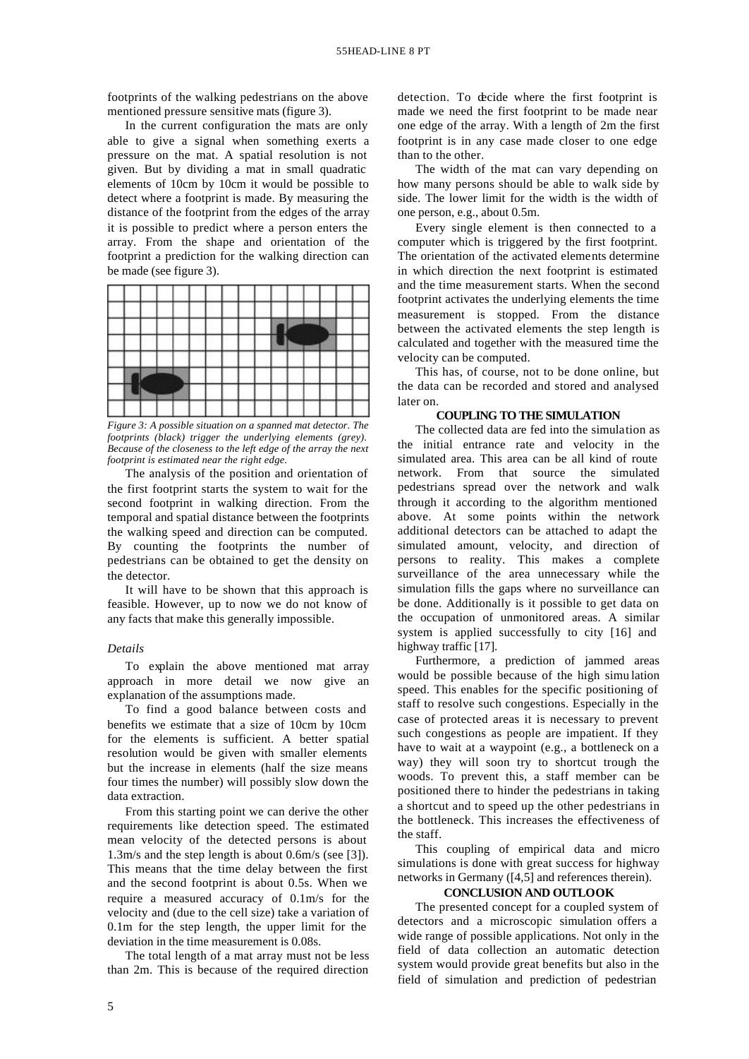footprints of the walking pedestrians on the above mentioned pressure sensitive mats (figure 3).

In the current configuration the mats are only able to give a signal when something exerts a pressure on the mat. A spatial resolution is not given. But by dividing a mat in small quadratic elements of 10cm by 10cm it would be possible to detect where a footprint is made. By measuring the distance of the footprint from the edges of the array it is possible to predict where a person enters the array. From the shape and orientation of the footprint a prediction for the walking direction can be made (see figure 3).

|  |  |  | $\mathcal{L}^{\mathcal{A}}(\mathcal{A})=\mathcal{L}^{\mathcal{A}}(\mathcal{A})$ |
|--|--|--|---------------------------------------------------------------------------------|

*Figure 3: A possible situation on a spanned mat detector. The footprints (black) trigger the underlying elements (grey). Because of the closeness to the left edge of the array the next footprint is estimated near the right edge.*

The analysis of the position and orientation of the first footprint starts the system to wait for the second footprint in walking direction. From the temporal and spatial distance between the footprints the walking speed and direction can be computed. By counting the footprints the number of pedestrians can be obtained to get the density on the detector.

It will have to be shown that this approach is feasible. However, up to now we do not know of any facts that make this generally impossible.

#### *Details*

To explain the above mentioned mat array approach in more detail we now give an explanation of the assumptions made.

To find a good balance between costs and benefits we estimate that a size of 10cm by 10cm for the elements is sufficient. A better spatial resolution would be given with smaller elements but the increase in elements (half the size means four times the number) will possibly slow down the data extraction.

From this starting point we can derive the other requirements like detection speed. The estimated mean velocity of the detected persons is about 1.3m/s and the step length is about 0.6m/s (see [3]). This means that the time delay between the first and the second footprint is about 0.5s. When we require a measured accuracy of 0.1m/s for the velocity and (due to the cell size) take a variation of 0.1m for the step length, the upper limit for the deviation in the time measurement is 0.08s.

The total length of a mat array must not be less than 2m. This is because of the required direction

detection. To decide where the first footprint is made we need the first footprint to be made near one edge of the array. With a length of 2m the first footprint is in any case made closer to one edge than to the other.

The width of the mat can vary depending on how many persons should be able to walk side by side. The lower limit for the width is the width of one person, e.g., about 0.5m.

Every single element is then connected to a computer which is triggered by the first footprint. The orientation of the activated elements determine in which direction the next footprint is estimated and the time measurement starts. When the second footprint activates the underlying elements the time measurement is stopped. From the distance between the activated elements the step length is calculated and together with the measured time the velocity can be computed.

This has, of course, not to be done online, but the data can be recorded and stored and analysed later on.

#### **COUPLING TO THE SIMULATION**

The collected data are fed into the simulation as the initial entrance rate and velocity in the simulated area. This area can be all kind of route network. From that source the simulated pedestrians spread over the network and walk through it according to the algorithm mentioned above. At some points within the network additional detectors can be attached to adapt the simulated amount, velocity, and direction of persons to reality. This makes a complete surveillance of the area unnecessary while the simulation fills the gaps where no surveillance can be done. Additionally is it possible to get data on the occupation of unmonitored areas. A similar system is applied successfully to city [16] and highway traffic [17].

Furthermore, a prediction of jammed areas would be possible because of the high simu lation speed. This enables for the specific positioning of staff to resolve such congestions. Especially in the case of protected areas it is necessary to prevent such congestions as people are impatient. If they have to wait at a waypoint (e.g., a bottleneck on a way) they will soon try to shortcut trough the woods. To prevent this, a staff member can be positioned there to hinder the pedestrians in taking a shortcut and to speed up the other pedestrians in the bottleneck. This increases the effectiveness of the staff.

This coupling of empirical data and micro simulations is done with great success for highway networks in Germany ([4,5] and references therein).

#### **CONCLUSION AND OUTLOOK**

The presented concept for a coupled system of detectors and a microscopic simulation offers a wide range of possible applications. Not only in the field of data collection an automatic detection system would provide great benefits but also in the field of simulation and prediction of pedestrian